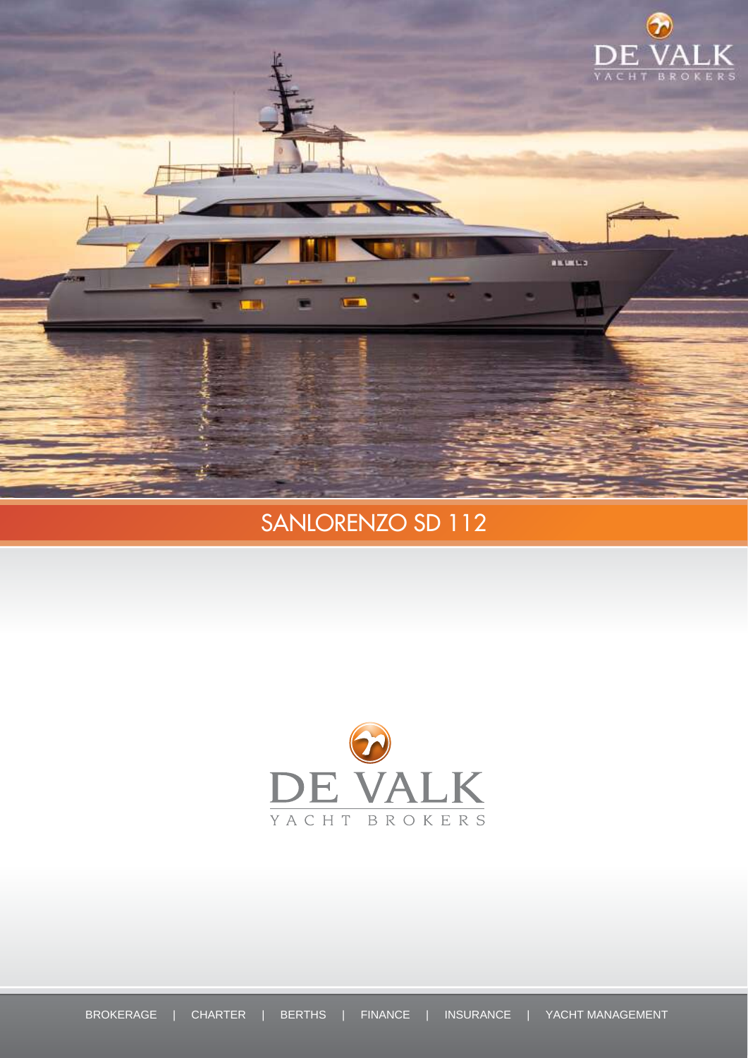

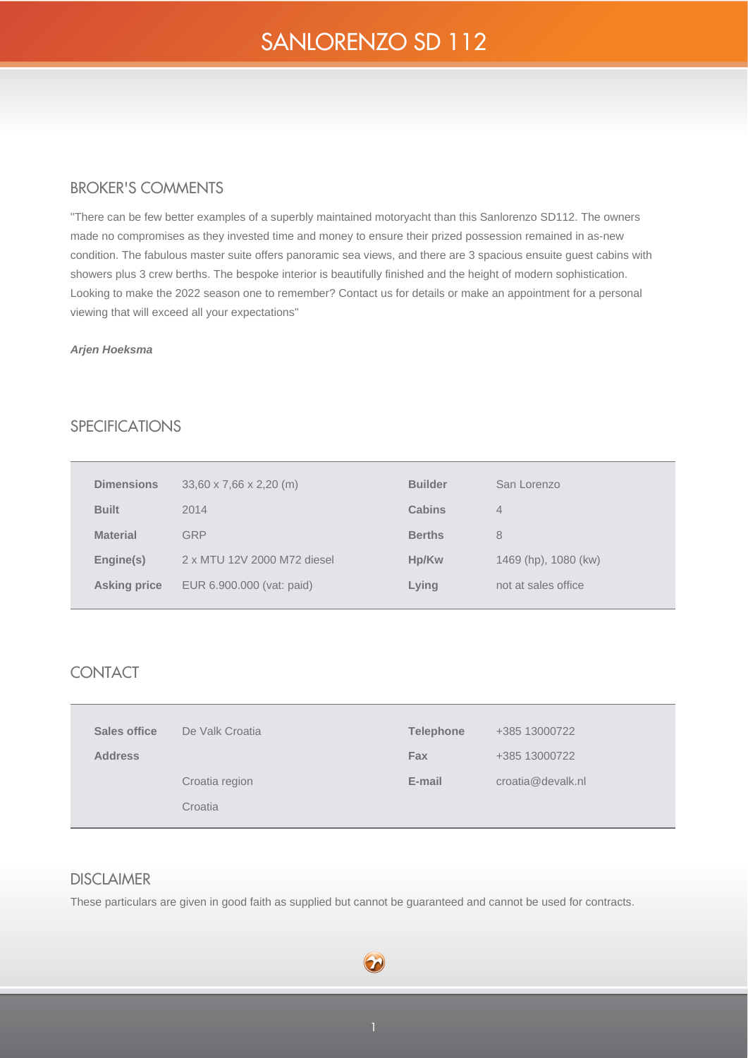### **BROKER'S COMMENTS**

''There can be few better examples of a superbly maintained motoryacht than this Sanlorenzo SD112. The owners made no compromises as they invested time and money to ensure their prized possession remained in as-new condition. The fabulous master suite offers panoramic sea views, and there are 3 spacious ensuite guest cabins with showers plus 3 crew berths. The bespoke interior is beautifully finished and the height of modern sophistication. Looking to make the 2022 season one to remember? Contact us for details or make an appointment for a personal viewing that will exceed all your expectations''

#### **Arjen Hoeksma**

### **SPECIFICATIONS**

| <b>Dimensions</b>   | $33,60 \times 7,66 \times 2,20$ (m) | <b>Builder</b> | San Lorenzo          |
|---------------------|-------------------------------------|----------------|----------------------|
| <b>Built</b>        | 2014                                | Cabins         | 4                    |
| <b>Material</b>     | <b>GRP</b>                          | <b>Berths</b>  | 8                    |
| Engine(s)           | 2 x MTU 12V 2000 M72 diesel         | Hp/Kw          | 1469 (hp), 1080 (kw) |
| <b>Asking price</b> | EUR 6.900.000 (vat: paid)           | Lying          | not at sales office  |
|                     |                                     |                |                      |

### **CONTACT**

| Sales office   | De Valk Croatia | <b>Telephone</b> | +385 13000722     |
|----------------|-----------------|------------------|-------------------|
| <b>Address</b> |                 | <b>Fax</b>       | +385 13000722     |
|                | Croatia region  | E-mail           | croatia@devalk.nl |
|                | Croatia         |                  |                   |

### **DISCLAIMER**

These particulars are given in good faith as supplied but cannot be guaranteed and cannot be used for contracts.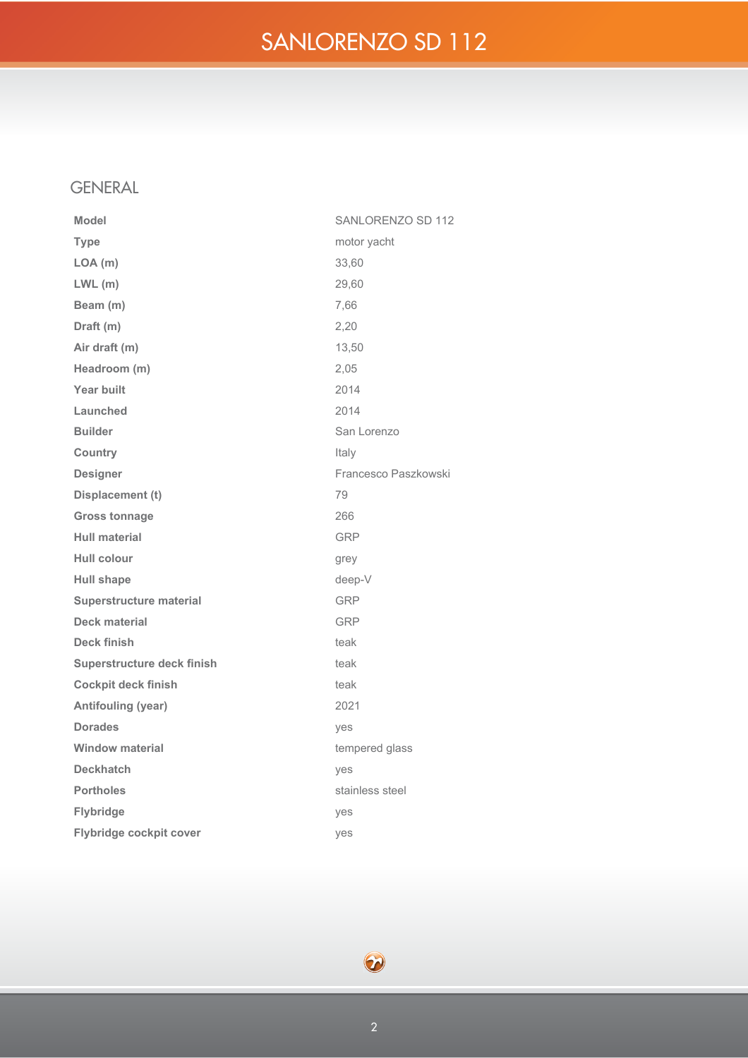### **GENERAL**

| <b>Model</b>                   | SANLORENZO SD 112    |
|--------------------------------|----------------------|
| <b>Type</b>                    | motor yacht          |
| LOA(m)                         | 33,60                |
| $LWL$ (m)                      | 29,60                |
| Beam (m)                       | 7,66                 |
| Draft (m)                      | 2,20                 |
| Air draft (m)                  | 13,50                |
| Headroom (m)                   | 2,05                 |
| Year built                     | 2014                 |
| Launched                       | 2014                 |
| <b>Builder</b>                 | San Lorenzo          |
| Country                        | Italy                |
| <b>Designer</b>                | Francesco Paszkowski |
| Displacement (t)               | 79                   |
| <b>Gross tonnage</b>           | 266                  |
| <b>Hull material</b>           | <b>GRP</b>           |
| <b>Hull colour</b>             | grey                 |
| <b>Hull shape</b>              | deep-V               |
| <b>Superstructure material</b> | <b>GRP</b>           |
| <b>Deck material</b>           | <b>GRP</b>           |
| Deck finish                    | teak                 |
| Superstructure deck finish     | teak                 |
| <b>Cockpit deck finish</b>     | teak                 |
| Antifouling (year)             | 2021                 |
| <b>Dorades</b>                 | yes                  |
| <b>Window material</b>         | tempered glass       |
| <b>Deckhatch</b>               | yes                  |
| <b>Portholes</b>               | stainless steel      |
| Flybridge                      | yes                  |
| Flybridge cockpit cover        | yes                  |

 $\bigcirc$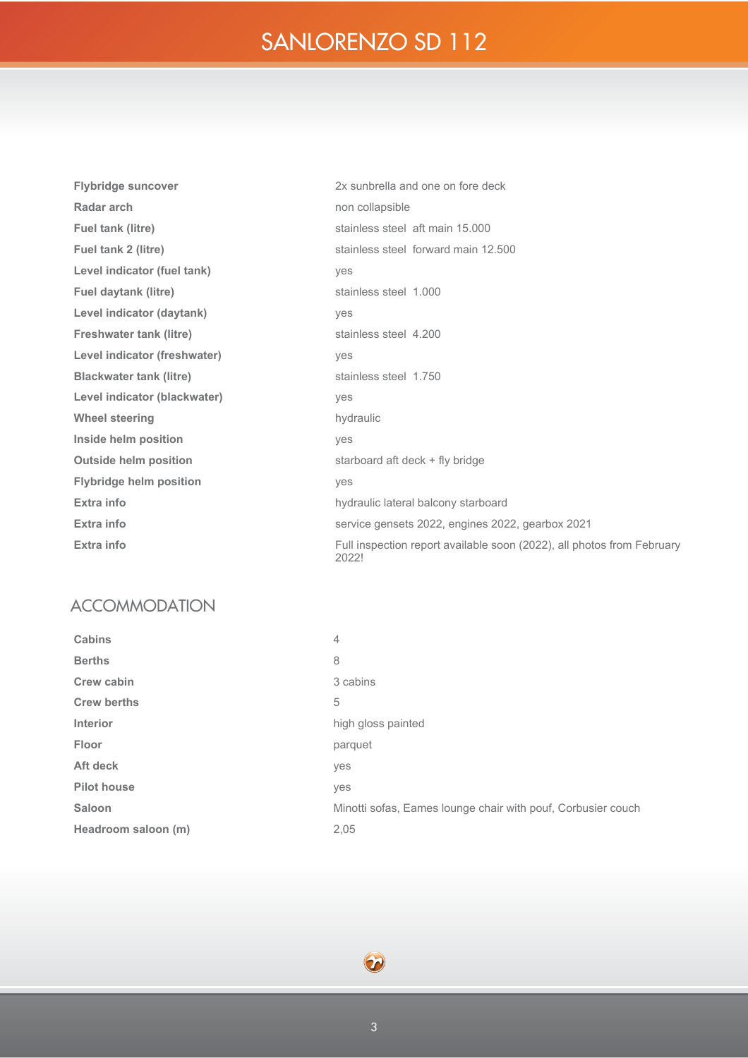| <b>Flybridge suncover</b>      | 2x sunbrella and one on fore deck                                               |
|--------------------------------|---------------------------------------------------------------------------------|
| Radar arch                     | non collapsible                                                                 |
| Fuel tank (litre)              | stainless steel aft main 15,000                                                 |
| Fuel tank 2 (litre)            | stainless steel forward main 12,500                                             |
| Level indicator (fuel tank)    | yes                                                                             |
| Fuel daytank (litre)           | stainless steel 1.000                                                           |
| Level indicator (daytank)      | yes                                                                             |
| <b>Freshwater tank (litre)</b> | stainless steel 4.200                                                           |
| Level indicator (freshwater)   | yes                                                                             |
| <b>Blackwater tank (litre)</b> | stainless steel 1.750                                                           |
| Level indicator (blackwater)   | yes                                                                             |
| <b>Wheel steering</b>          | hydraulic                                                                       |
| Inside helm position           | yes                                                                             |
| <b>Outside helm position</b>   | starboard aft deck + fly bridge                                                 |
| <b>Flybridge helm position</b> | yes                                                                             |
| Extra info                     | hydraulic lateral balcony starboard                                             |
| Extra info                     | service gensets 2022, engines 2022, gearbox 2021                                |
| Extra info                     | Full inspection report available soon (2022), all photos from February<br>2022! |

## **ACCOMMODATION**

| <b>Cabins</b>       | 4                                                            |
|---------------------|--------------------------------------------------------------|
| <b>Berths</b>       | 8                                                            |
| Crew cabin          | 3 cabins                                                     |
| <b>Crew berths</b>  | 5                                                            |
| <b>Interior</b>     | high gloss painted                                           |
| Floor               | parquet                                                      |
| Aft deck            | yes                                                          |
| <b>Pilot house</b>  | yes                                                          |
| Saloon              | Minotti sofas, Eames lounge chair with pouf, Corbusier couch |
| Headroom saloon (m) | 2,05                                                         |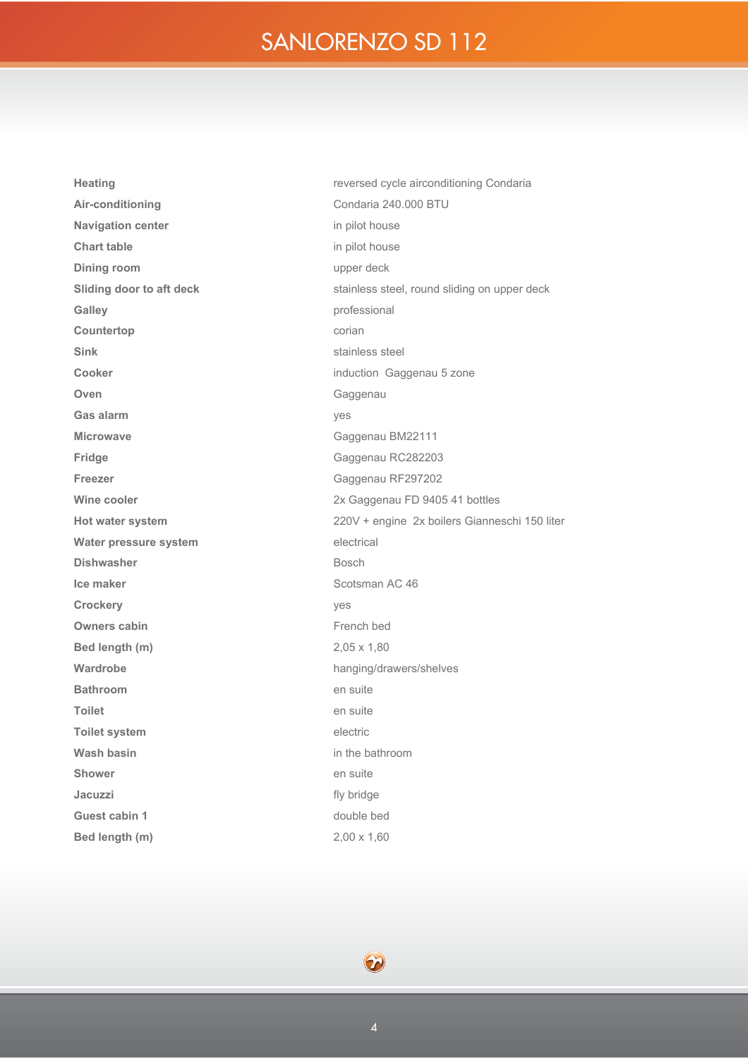**Air-conditioning Condaria 240.000 BTU Navigation center in pilot house Chart table in** pilot house **Dining room upper deck Galley professional Countertop corian Sink stainless steel Cooker induction Gaggenau 5 zone Oven Gaggenau Gas alarm yes Microwave Gaggenau BM22111 Fridge Gaggenau RC282203 Freezer Gaggenau RF297202 Wine cooler 2x Gaggenau FD 9405 41 bottles Water pressure system electrical Dishwasher Bosch Ice maker Scotsman AC 46 Crockery yes Owners cabin French** bed **Bed length (m) 2,05 x 1,80 Wardrobe hanging/drawers/shelves Bathroom en** suite **Toilet en suite Toilet system electric Wash basin in the bathroom Shower en** suite **Jacuzzi fly bridge Guest cabin 1 double bed**

**Heating reversed cycle airconditioning Condaria Sliding door to aft deck stainless steel, round sliding on upper deck Hot water system 220V + engine 2x boilers Gianneschi 150 liter Bed length (m) 2,00 x 1,60**

 $\bullet$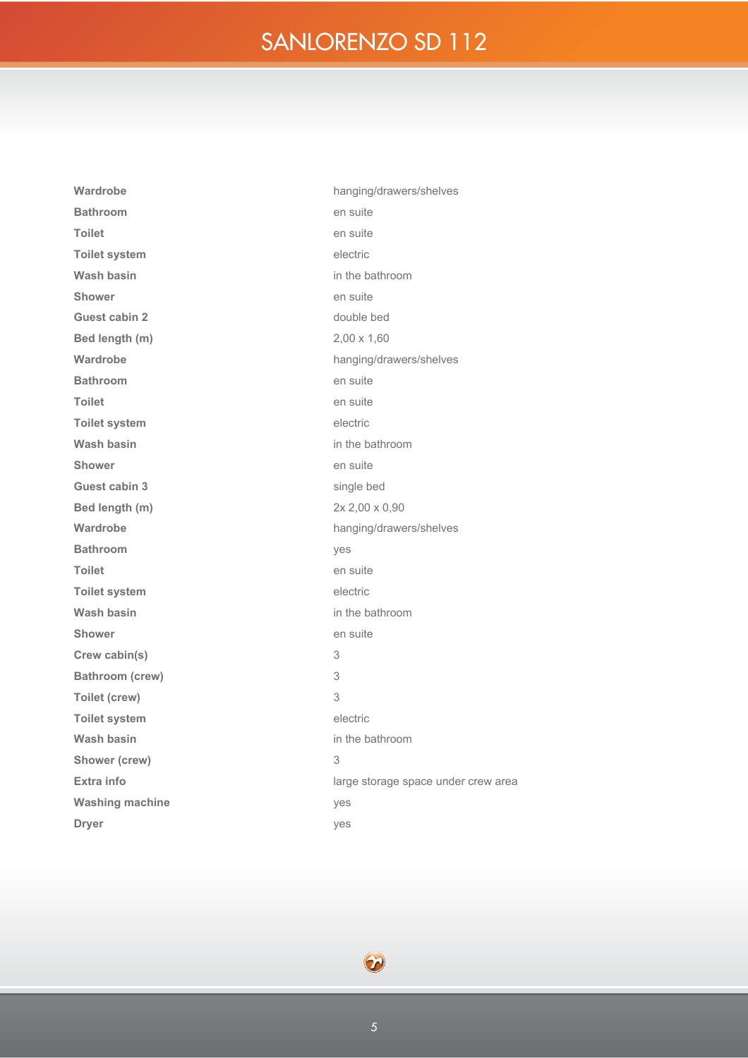**Bathroom en** suite **Toilet en suite Toilet system electric Wash basin in the bathroom Shower en** suite **Guest cabin 2 double bed Bed length (m) 2,00 x 1,60 Wardrobe hanging/drawers/shelves Bathroom en** suite **Toilet en suite Toilet system electric Wash basin in** the bathroom **Shower en** suite **Guest cabin 3 single bed Bed length (m) 2x 2,00 x 0,90 Wardrobe hanging/drawers/shelves Bathroom yes Toilet en suite Toilet system electric Wash basin in** the bathroom **Shower en** suite **Crew cabin(s) 3 Bathroom (crew) 3 Toilet (crew) 3 Toilet system electric Wash basin in the bathroom Shower (crew) 3 Extra info large storage space under crew area Washing machine yes Dryer yes**

**Wardrobe hanging/drawers/shelves**

 $\bm{\omega}$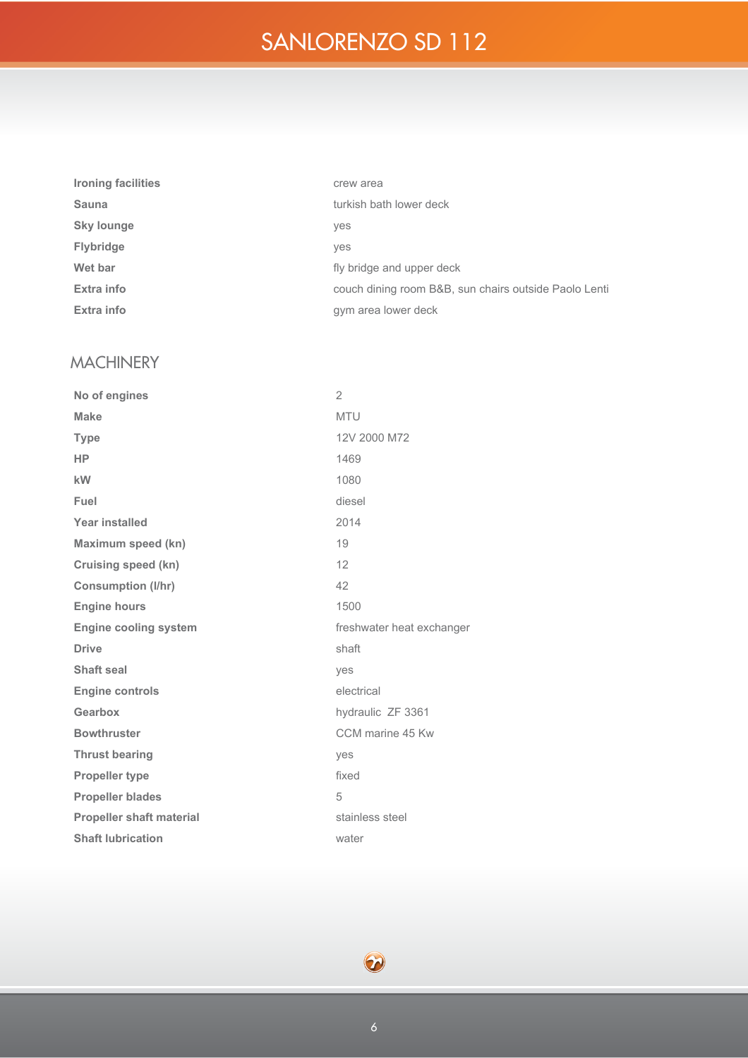| Ironing facilities | crew area                                             |
|--------------------|-------------------------------------------------------|
| <b>Sauna</b>       | turkish bath lower deck                               |
| <b>Sky lounge</b>  | yes                                                   |
| <b>Flybridge</b>   | yes                                                   |
| Wet bar            | fly bridge and upper deck                             |
| <b>Extra info</b>  | couch dining room B&B, sun chairs outside Paolo Lenti |
| <b>Extra info</b>  | gym area lower deck                                   |

### **MACHINERY**

| No of engines                   | $\overline{2}$            |
|---------------------------------|---------------------------|
| Make                            | <b>MTU</b>                |
| <b>Type</b>                     | 12V 2000 M72              |
| <b>HP</b>                       | 1469                      |
| kW                              | 1080                      |
| Fuel                            | diesel                    |
| Year installed                  | 2014                      |
| Maximum speed (kn)              | 19                        |
| <b>Cruising speed (kn)</b>      | 12                        |
| Consumption (I/hr)              | 42                        |
| <b>Engine hours</b>             | 1500                      |
| <b>Engine cooling system</b>    | freshwater heat exchanger |
| <b>Drive</b>                    | shaft                     |
| <b>Shaft seal</b>               | yes                       |
| <b>Engine controls</b>          | electrical                |
| Gearbox                         | hydraulic ZF 3361         |
| <b>Bowthruster</b>              | CCM marine 45 Kw          |
| <b>Thrust bearing</b>           | yes                       |
| <b>Propeller type</b>           | fixed                     |
| <b>Propeller blades</b>         | 5                         |
| <b>Propeller shaft material</b> | stainless steel           |
| <b>Shaft lubrication</b>        | water                     |
|                                 |                           |

 $\odot$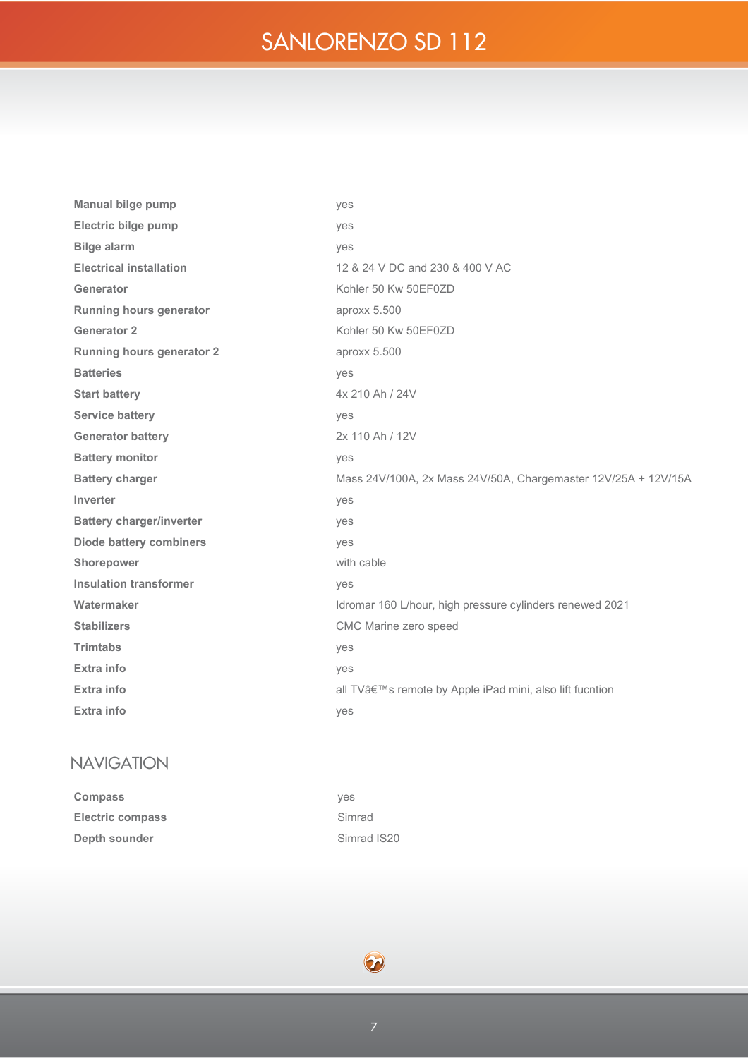| <b>Manual bilge pump</b>        | yes                                                            |
|---------------------------------|----------------------------------------------------------------|
| Electric bilge pump             | yes                                                            |
| <b>Bilge alarm</b>              | yes                                                            |
| <b>Electrical installation</b>  | 12 & 24 V DC and 230 & 400 V AC                                |
| Generator                       | Kohler 50 Kw 50EF0ZD                                           |
| Running hours generator         | aproxx 5.500                                                   |
| <b>Generator 2</b>              | Kohler 50 Kw 50EF0ZD                                           |
| Running hours generator 2       | aproxx 5.500                                                   |
| <b>Batteries</b>                | ves                                                            |
| <b>Start battery</b>            | 4x 210 Ah / 24V                                                |
| <b>Service battery</b>          | yes                                                            |
| <b>Generator battery</b>        | 2x 110 Ah / 12V                                                |
| <b>Battery monitor</b>          | yes                                                            |
| <b>Battery charger</b>          | Mass 24V/100A, 2x Mass 24V/50A, Chargemaster 12V/25A + 12V/15A |
| Inverter                        | yes                                                            |
| <b>Battery charger/inverter</b> | yes                                                            |
| <b>Diode battery combiners</b>  | yes                                                            |
| Shorepower                      | with cable                                                     |
| <b>Insulation transformer</b>   | yes                                                            |
| Watermaker                      | Idromar 160 L/hour, high pressure cylinders renewed 2021       |
| <b>Stabilizers</b>              | CMC Marine zero speed                                          |
| <b>Trimtabs</b>                 | yes                                                            |
| <b>Extra info</b>               | yes                                                            |
| <b>Extra info</b>               | all TV's remote by Apple iPad mini, also lift fucntion         |
| Extra info                      | yes                                                            |

## **NAVIGATION**

| <b>Compass</b>          | ves         |
|-------------------------|-------------|
| <b>Electric compass</b> | Simrad      |
| Depth sounder           | Simrad IS20 |

 $\bigcirc$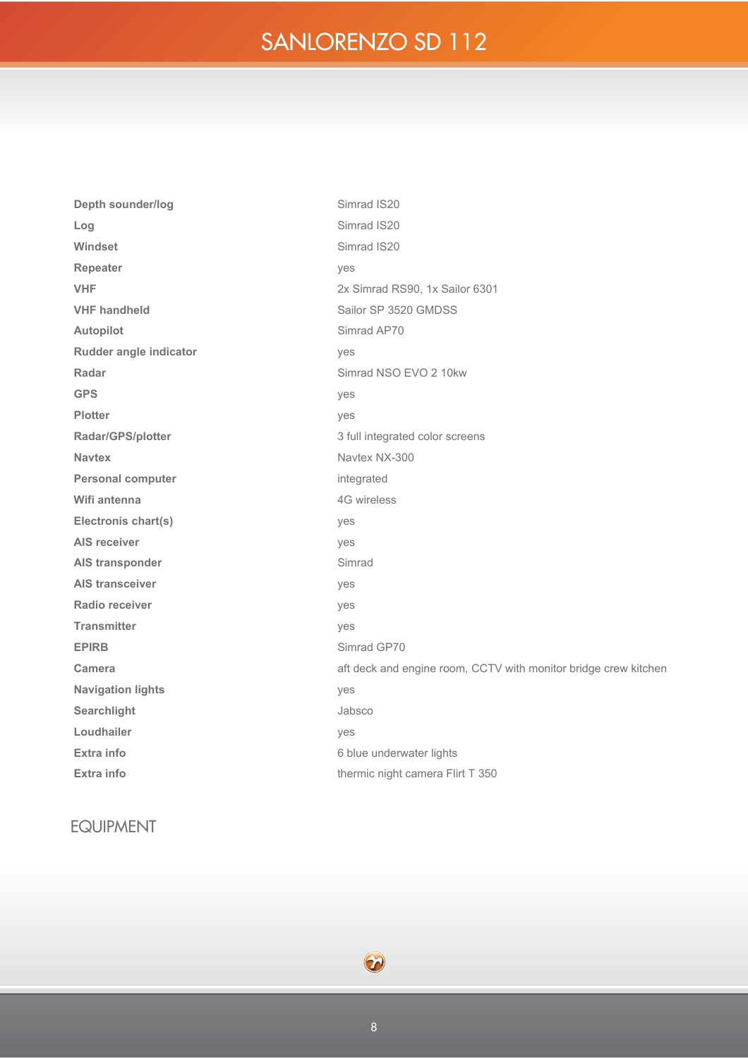**Log Simrad IS20 Windset Simrad IS20 Repeater yes VHF 2x Simrad RS90, 1x Sailor 6301 VHF handheld Sailor SP 3520 GMDSS Autopilot Simrad AP70 Rudder angle indicator yes Radar Simrad NSO EVO 2 10kw GPS yes Plotter yes Radar/GPS/plotter 3 full integrated color screens Navtex NAVTEX NAVTEX NAVTEX NAVTEX NAVTEX N Personal computer integrated Wifi antenna 4G wireless Electronis chart(s) yes AIS receiver yes AIS transponder Simrad AIS transceiver yes Radio receiver yes Transmitter yes EPIRB Simrad GP70 Navigation lights yes Searchlight Jabsco Loudhailer yes Extra info 6 blue underwater lights**

**Depth sounder/log Simrad IS20 Camera aft deck and engine room, CCTV with monitor bridge crew kitchen Extra info thermic night camera Flirt T 350**

### **EQUIPMENT**

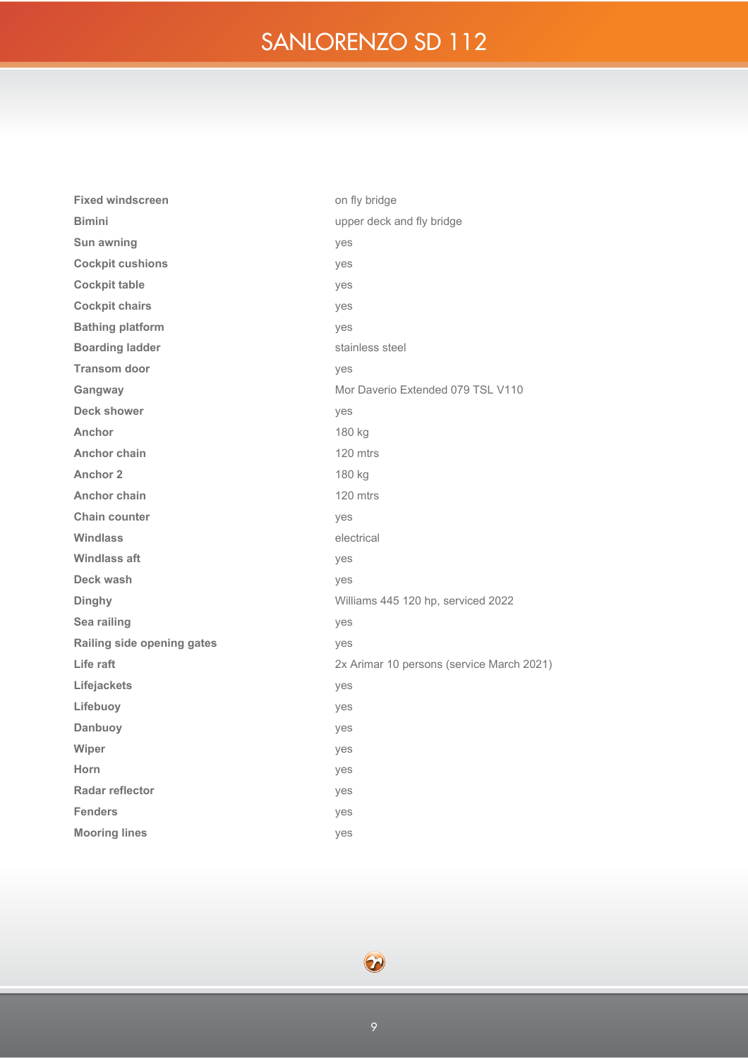| <b>Fixed windscreen</b>    | on fly bridge                             |
|----------------------------|-------------------------------------------|
| <b>Bimini</b>              | upper deck and fly bridge                 |
| Sun awning                 | yes                                       |
| <b>Cockpit cushions</b>    | yes                                       |
| <b>Cockpit table</b>       | yes                                       |
| <b>Cockpit chairs</b>      | yes                                       |
| <b>Bathing platform</b>    | yes                                       |
| <b>Boarding ladder</b>     | stainless steel                           |
| <b>Transom door</b>        | yes                                       |
| Gangway                    | Mor Daverio Extended 079 TSL V110         |
| <b>Deck shower</b>         | yes                                       |
| <b>Anchor</b>              | 180 kg                                    |
| <b>Anchor chain</b>        | 120 mtrs                                  |
| <b>Anchor 2</b>            | 180 kg                                    |
| Anchor chain               | 120 mtrs                                  |
| <b>Chain counter</b>       | yes                                       |
| <b>Windlass</b>            | electrical                                |
| <b>Windlass aft</b>        | yes                                       |
| Deck wash                  | yes                                       |
| <b>Dinghy</b>              | Williams 445 120 hp, serviced 2022        |
| Sea railing                | yes                                       |
| Railing side opening gates | yes                                       |
| Life raft                  | 2x Arimar 10 persons (service March 2021) |
| Lifejackets                | yes                                       |
| Lifebuoy                   | yes                                       |
| Danbuoy                    | yes                                       |
| Wiper                      | yes                                       |
| Horn                       | yes                                       |
| <b>Radar reflector</b>     | yes                                       |
| <b>Fenders</b>             | yes                                       |
| <b>Mooring lines</b>       | yes                                       |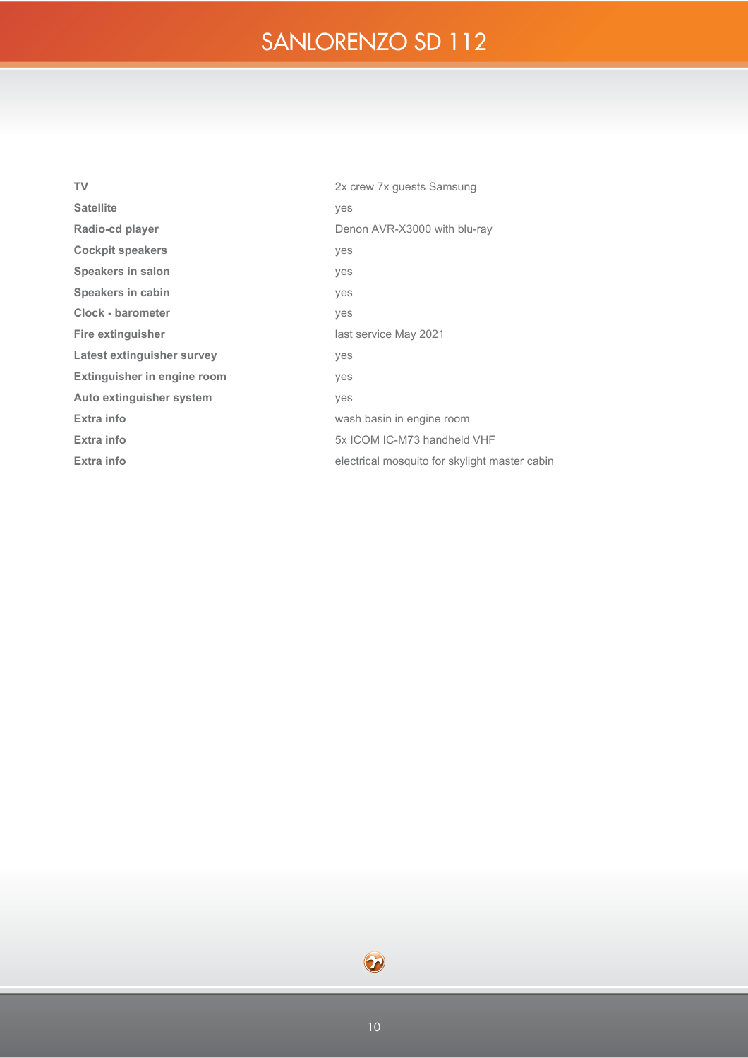| TV                          | 2x crew 7x guests Samsung                     |
|-----------------------------|-----------------------------------------------|
| <b>Satellite</b>            | yes                                           |
| Radio-cd player             | Denon AVR-X3000 with blu-ray                  |
| <b>Cockpit speakers</b>     | yes                                           |
| Speakers in salon           | yes                                           |
| Speakers in cabin           | yes                                           |
| Clock - barometer           | yes                                           |
| <b>Fire extinguisher</b>    | last service May 2021                         |
| Latest extinguisher survey  | yes                                           |
| Extinguisher in engine room | yes                                           |
| Auto extinguisher system    | yes                                           |
| Extra info                  | wash basin in engine room                     |
| Extra info                  | 5x ICOM IC-M73 handheld VHF                   |
| Extra info                  | electrical mosquito for skylight master cabin |

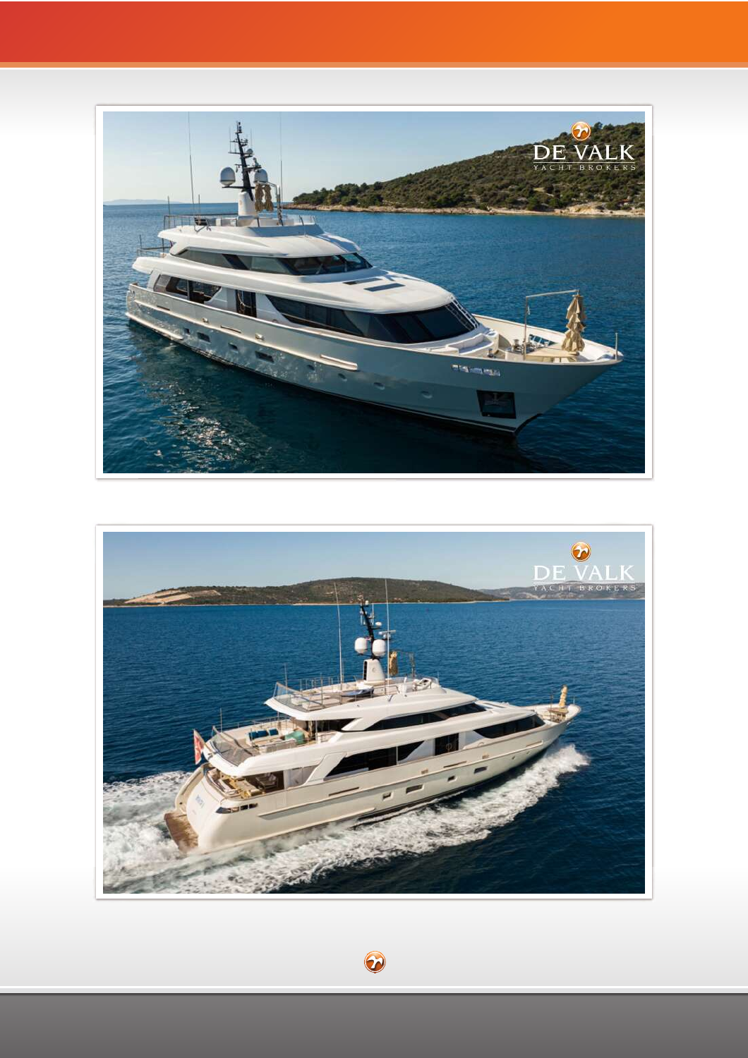# $6 $1 / 25 (1 = 2 6)$



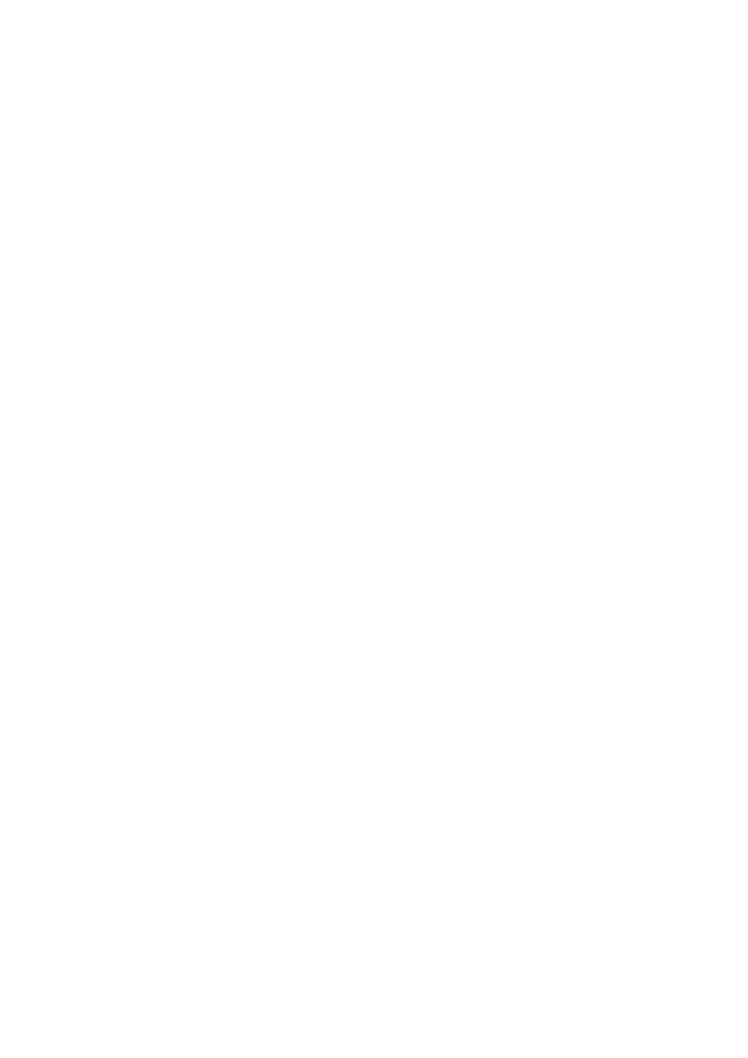| ---- |  |
|------|--|
|      |  |
|      |  |
|      |  |
|      |  |
|      |  |
|      |  |
|      |  |
|      |  |
|      |  |
|      |  |
|      |  |
|      |  |
|      |  |
|      |  |
|      |  |
|      |  |
|      |  |
|      |  |
|      |  |
|      |  |
|      |  |
|      |  |
|      |  |
|      |  |
|      |  |
|      |  |
|      |  |
|      |  |
|      |  |
|      |  |
|      |  |
|      |  |
|      |  |
|      |  |
|      |  |
|      |  |
|      |  |
|      |  |
|      |  |
|      |  |
|      |  |
|      |  |
|      |  |
|      |  |
|      |  |
|      |  |
|      |  |
|      |  |
|      |  |
|      |  |
|      |  |
|      |  |
|      |  |
|      |  |
|      |  |
|      |  |
|      |  |
|      |  |

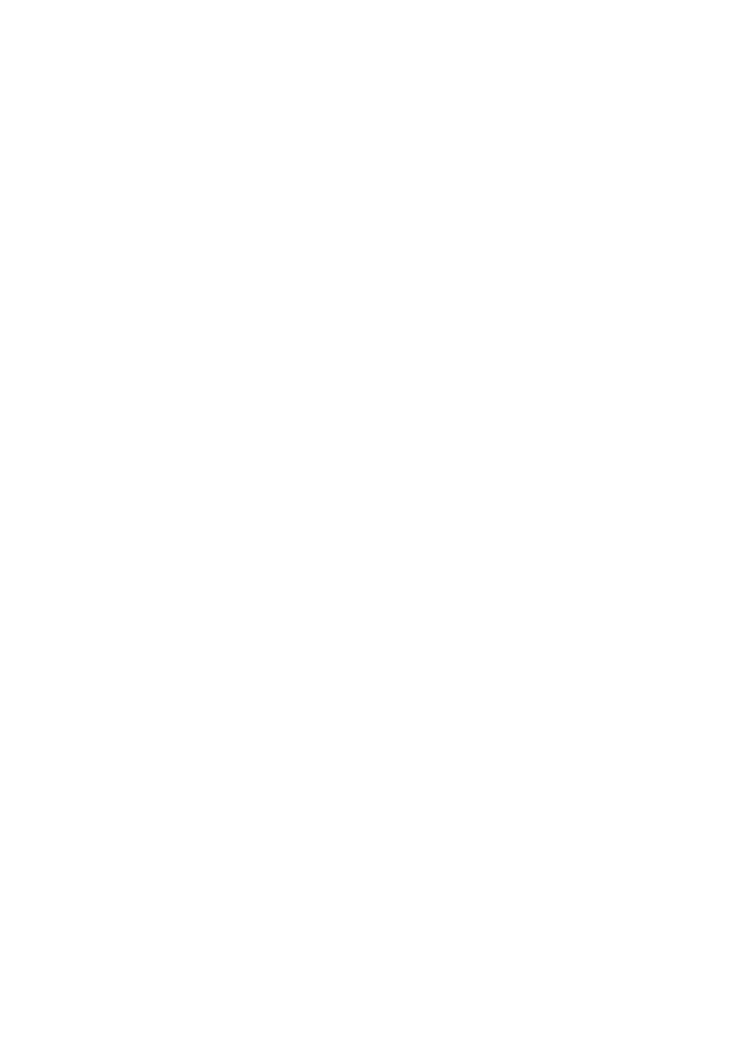| ---- |  |
|------|--|
|      |  |
|      |  |
|      |  |
|      |  |
|      |  |
|      |  |
|      |  |
|      |  |
|      |  |
|      |  |
|      |  |
|      |  |
|      |  |
|      |  |
|      |  |
|      |  |
|      |  |
|      |  |
|      |  |
|      |  |
|      |  |
|      |  |
|      |  |
|      |  |
|      |  |
|      |  |
|      |  |
|      |  |
|      |  |
|      |  |
|      |  |
|      |  |
|      |  |
|      |  |
|      |  |
|      |  |
|      |  |
|      |  |
|      |  |
|      |  |
|      |  |
|      |  |
|      |  |
|      |  |
|      |  |
|      |  |
|      |  |
|      |  |
|      |  |
|      |  |
|      |  |
|      |  |
|      |  |
|      |  |
|      |  |
|      |  |
|      |  |
|      |  |

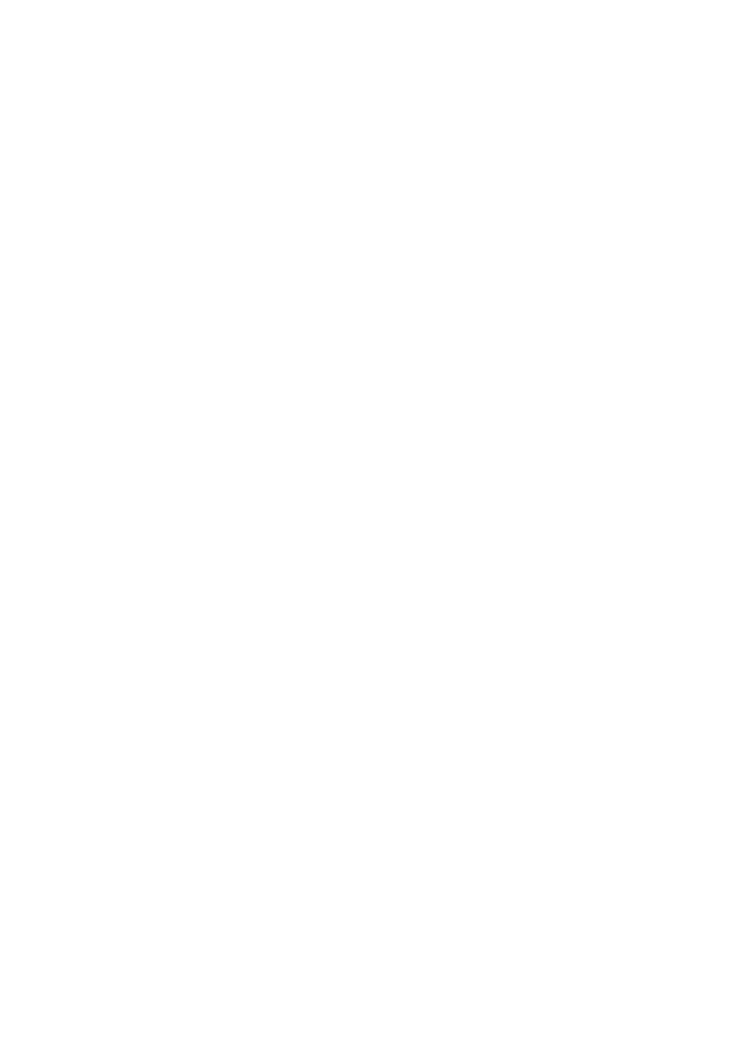| ---- |  |
|------|--|
|      |  |
|      |  |
|      |  |
|      |  |
|      |  |
|      |  |
|      |  |
|      |  |
|      |  |
|      |  |
|      |  |
|      |  |
|      |  |
|      |  |
|      |  |
|      |  |
|      |  |
|      |  |
|      |  |
|      |  |
|      |  |
|      |  |
|      |  |
|      |  |
|      |  |
|      |  |
|      |  |
|      |  |
|      |  |
|      |  |
|      |  |
|      |  |
|      |  |
|      |  |
|      |  |
|      |  |
|      |  |
|      |  |
|      |  |
|      |  |
|      |  |
|      |  |
|      |  |
|      |  |
|      |  |
|      |  |
|      |  |
|      |  |
|      |  |
|      |  |
|      |  |
|      |  |
|      |  |
|      |  |
|      |  |
|      |  |
|      |  |
|      |  |

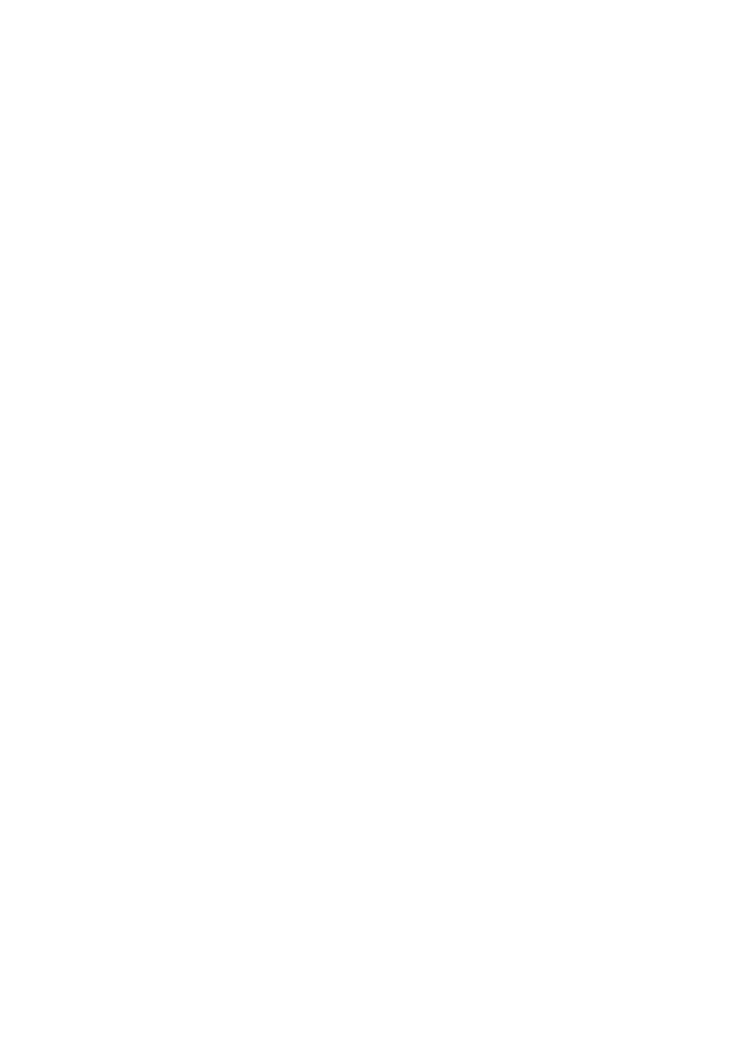| ---- |  |
|------|--|
|      |  |
|      |  |
|      |  |
|      |  |
|      |  |
|      |  |
|      |  |
|      |  |
|      |  |
|      |  |
|      |  |
|      |  |
|      |  |
|      |  |
|      |  |
|      |  |
|      |  |
|      |  |
|      |  |
|      |  |
|      |  |
|      |  |
|      |  |
|      |  |
|      |  |
|      |  |
|      |  |
|      |  |
|      |  |
|      |  |
|      |  |
|      |  |
|      |  |
|      |  |
|      |  |
|      |  |
|      |  |
|      |  |
|      |  |
|      |  |
|      |  |
|      |  |
|      |  |
|      |  |
|      |  |
|      |  |
|      |  |
|      |  |
|      |  |
|      |  |
|      |  |
|      |  |
|      |  |
|      |  |
|      |  |
|      |  |
|      |  |
|      |  |

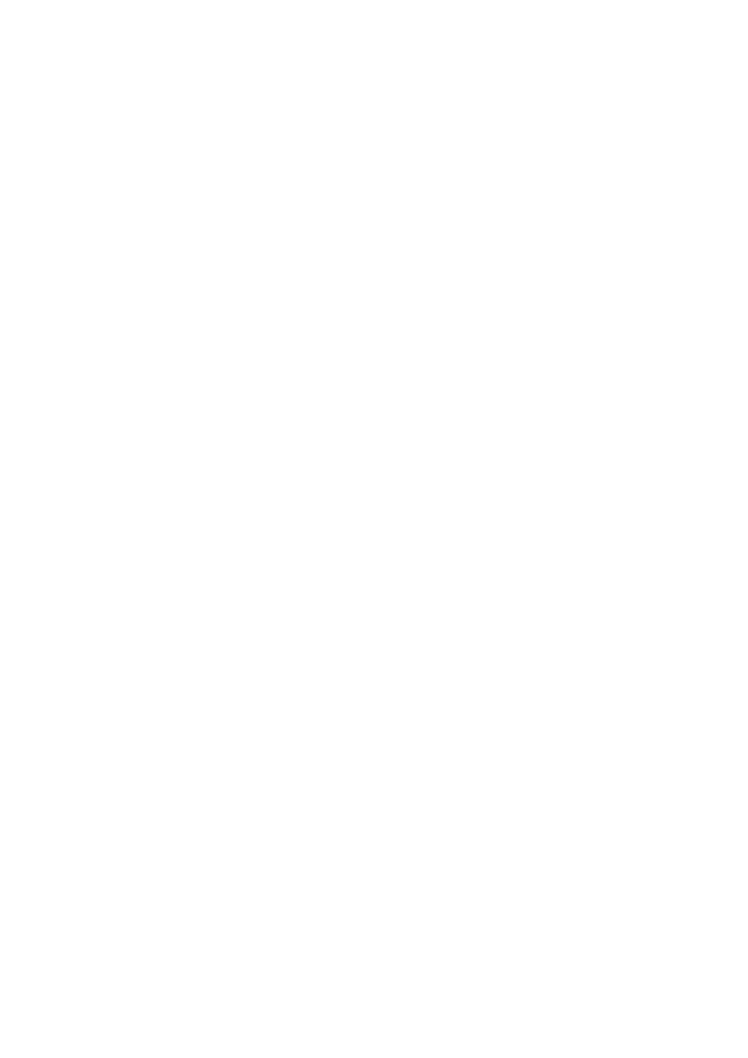| ---- |  |
|------|--|
|      |  |
|      |  |
|      |  |
|      |  |
|      |  |
|      |  |
|      |  |
|      |  |
|      |  |
|      |  |
|      |  |
|      |  |
|      |  |
|      |  |
|      |  |
|      |  |
|      |  |
|      |  |
|      |  |
|      |  |
|      |  |
|      |  |
|      |  |
|      |  |
|      |  |
|      |  |
|      |  |
|      |  |
|      |  |
|      |  |
|      |  |
|      |  |
|      |  |
|      |  |
|      |  |
|      |  |
|      |  |
|      |  |
|      |  |
|      |  |
|      |  |
|      |  |
|      |  |
|      |  |
|      |  |
|      |  |
|      |  |
|      |  |
|      |  |
|      |  |
|      |  |
|      |  |
|      |  |
|      |  |
|      |  |
|      |  |
|      |  |
|      |  |

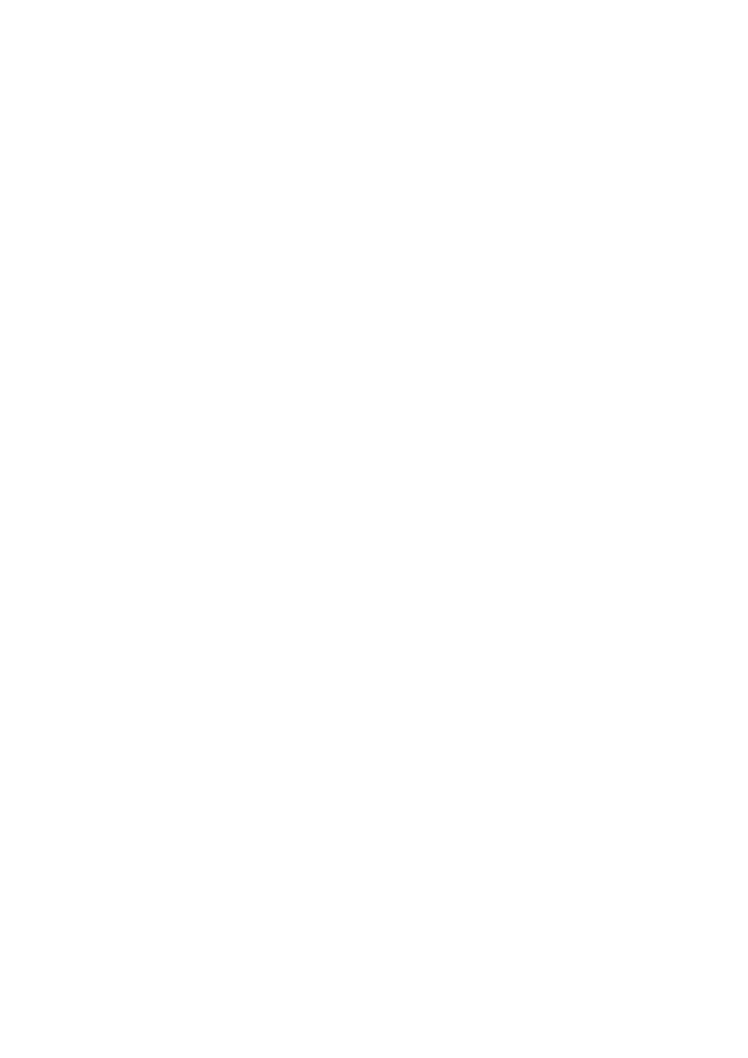| ---- |  |
|------|--|
|      |  |
|      |  |
|      |  |
|      |  |
|      |  |
|      |  |
|      |  |
|      |  |
|      |  |
|      |  |
|      |  |
|      |  |
|      |  |
|      |  |
|      |  |
|      |  |
|      |  |
|      |  |
|      |  |
|      |  |
|      |  |
|      |  |
|      |  |
|      |  |
|      |  |
|      |  |
|      |  |
|      |  |
|      |  |
|      |  |
|      |  |
|      |  |
|      |  |
|      |  |
|      |  |
|      |  |
|      |  |
|      |  |
|      |  |
|      |  |
|      |  |
|      |  |
|      |  |
|      |  |
|      |  |
|      |  |
|      |  |
|      |  |
|      |  |
|      |  |
|      |  |
|      |  |
|      |  |
|      |  |
|      |  |
|      |  |
|      |  |
|      |  |

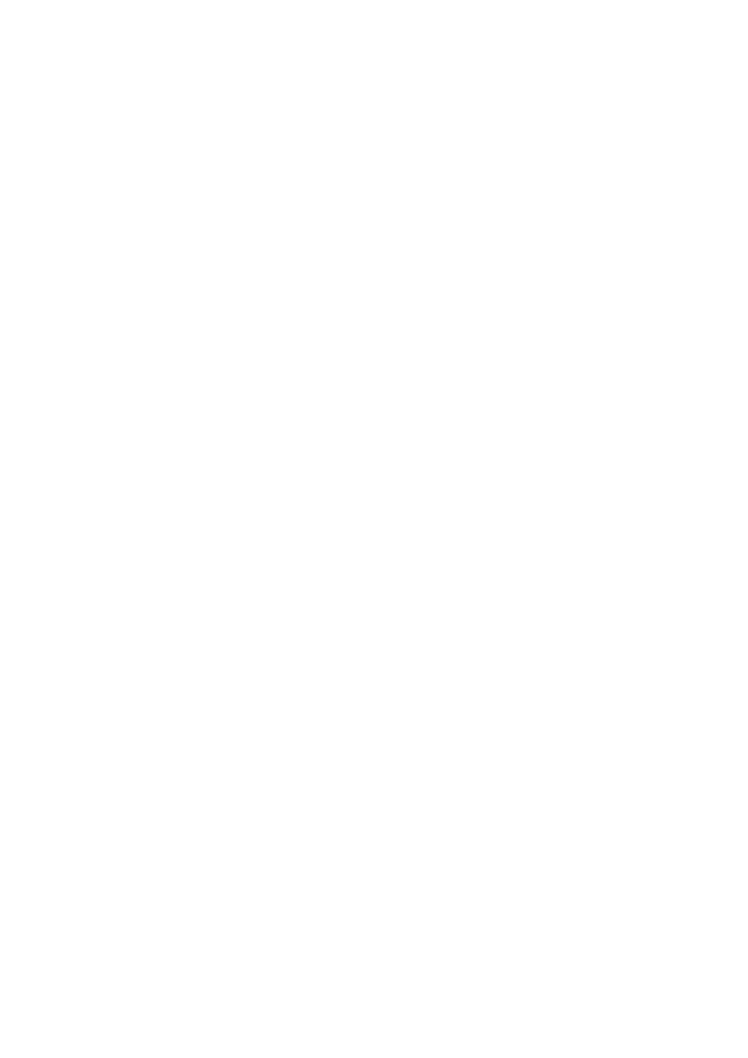| ---- |  |
|------|--|
|      |  |
|      |  |
|      |  |
|      |  |
|      |  |
|      |  |
|      |  |
|      |  |
|      |  |
|      |  |
|      |  |
|      |  |
|      |  |
|      |  |
|      |  |
|      |  |
|      |  |
|      |  |
|      |  |
|      |  |
|      |  |
|      |  |
|      |  |
|      |  |
|      |  |
|      |  |
|      |  |
|      |  |
|      |  |
|      |  |
|      |  |
|      |  |
|      |  |
|      |  |
|      |  |
|      |  |
|      |  |
|      |  |
|      |  |
|      |  |
|      |  |
|      |  |
|      |  |
|      |  |
|      |  |
|      |  |
|      |  |
|      |  |
|      |  |
|      |  |
|      |  |
|      |  |
|      |  |
|      |  |
|      |  |
|      |  |
|      |  |
|      |  |

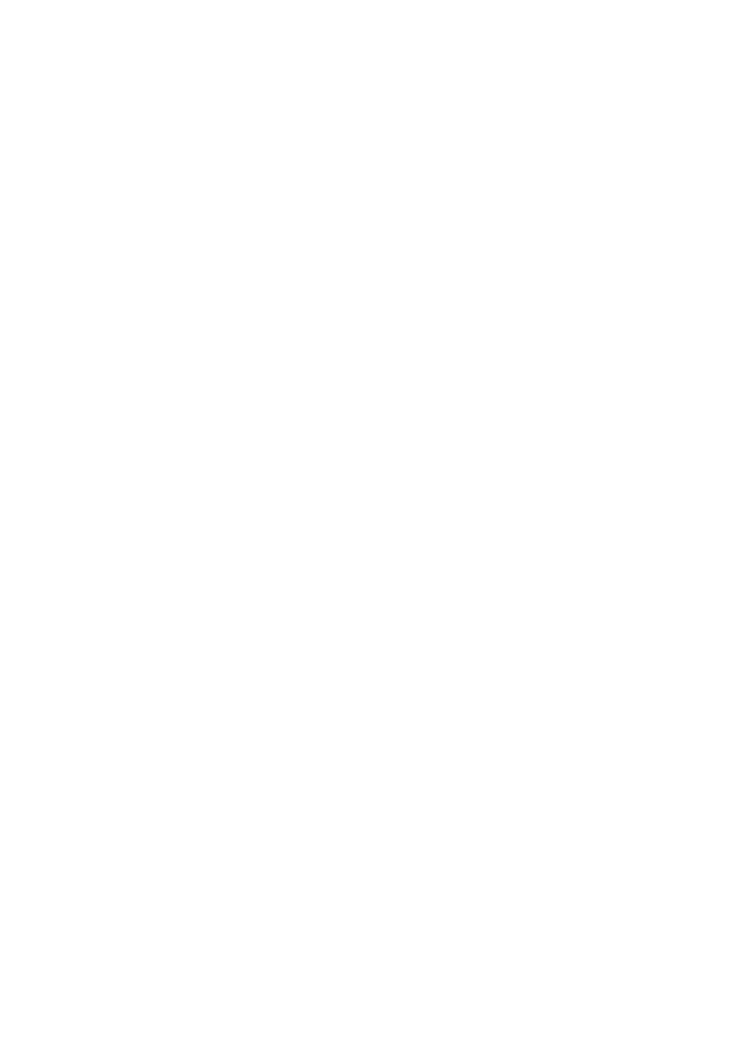| ---- |  |
|------|--|
|      |  |
|      |  |
|      |  |
|      |  |
|      |  |
|      |  |
|      |  |
|      |  |
|      |  |
|      |  |
|      |  |
|      |  |
|      |  |
|      |  |
|      |  |
|      |  |
|      |  |
|      |  |
|      |  |
|      |  |
|      |  |
|      |  |
|      |  |
|      |  |
|      |  |
|      |  |
|      |  |
|      |  |
|      |  |
|      |  |
|      |  |
|      |  |
|      |  |
|      |  |
|      |  |
|      |  |
|      |  |
|      |  |
|      |  |
|      |  |
|      |  |
|      |  |
|      |  |
|      |  |
|      |  |
|      |  |
|      |  |
|      |  |
|      |  |
|      |  |
|      |  |
|      |  |
|      |  |
|      |  |
|      |  |
|      |  |
|      |  |
|      |  |

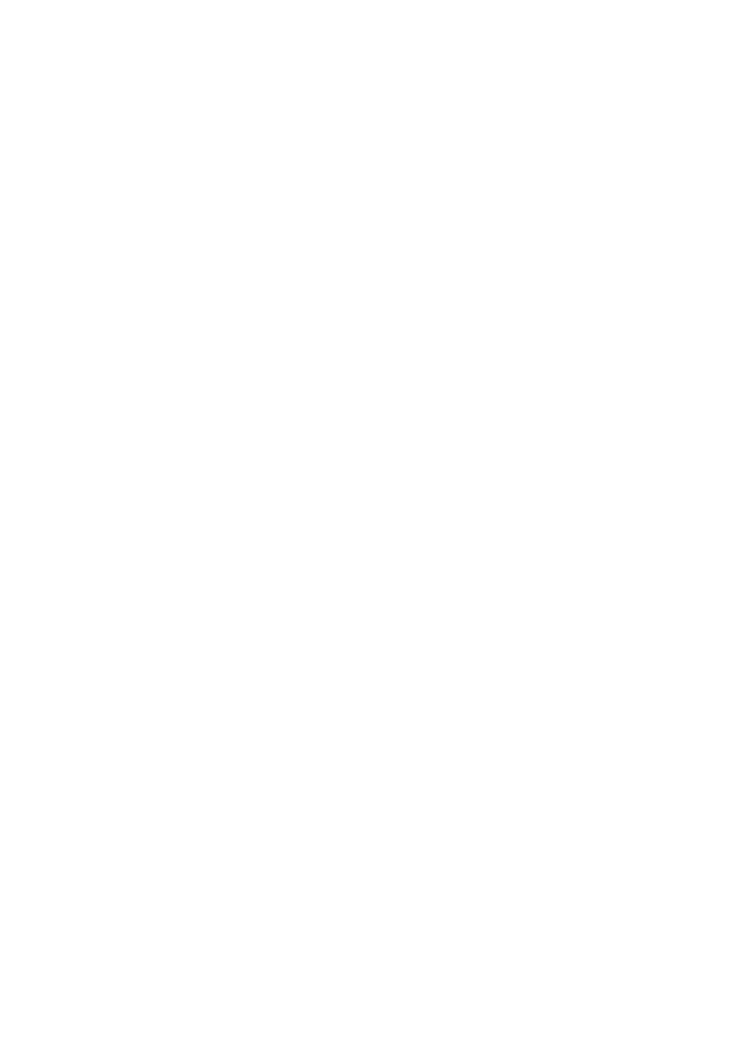| ---- |  |
|------|--|
|      |  |
|      |  |
|      |  |
|      |  |
|      |  |
|      |  |
|      |  |
|      |  |
|      |  |
|      |  |
|      |  |
|      |  |
|      |  |
|      |  |
|      |  |
|      |  |
|      |  |
|      |  |
|      |  |
|      |  |
|      |  |
|      |  |
|      |  |
|      |  |
|      |  |
|      |  |
|      |  |
|      |  |
|      |  |
|      |  |
|      |  |
|      |  |
|      |  |
|      |  |
|      |  |
|      |  |
|      |  |
|      |  |
|      |  |
|      |  |
|      |  |
|      |  |
|      |  |
|      |  |
|      |  |
|      |  |
|      |  |
|      |  |
|      |  |
|      |  |
|      |  |
|      |  |
|      |  |
|      |  |
|      |  |
|      |  |
|      |  |
|      |  |

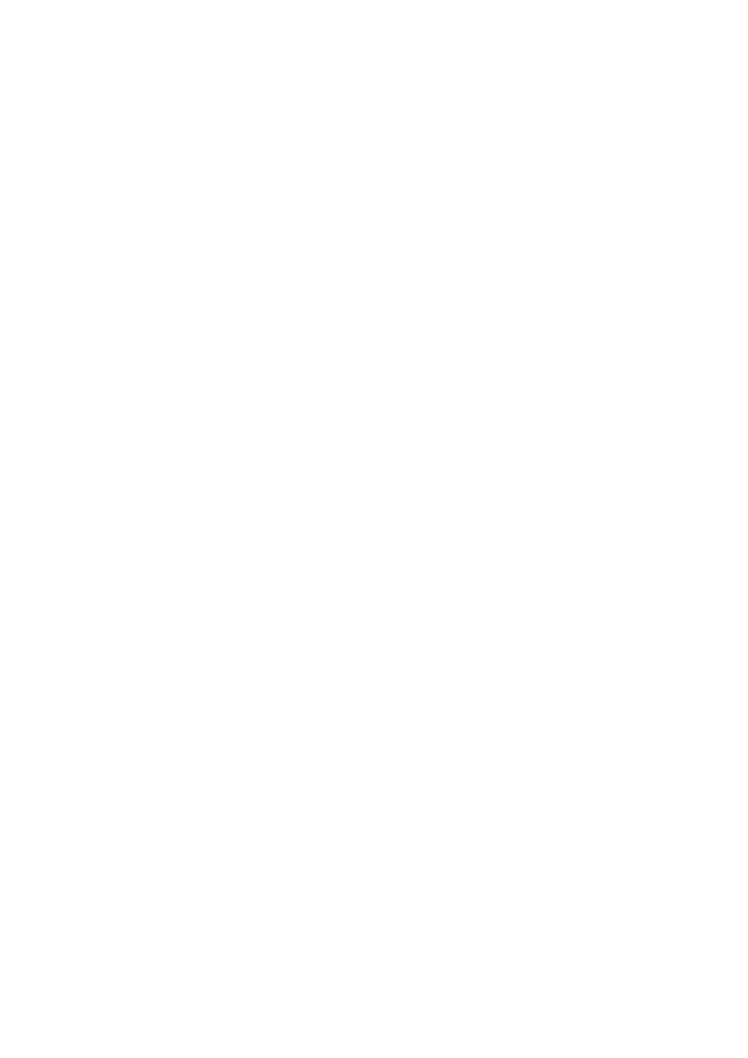| ---- |  |
|------|--|
|      |  |
|      |  |
|      |  |
|      |  |
|      |  |
|      |  |
|      |  |
|      |  |
|      |  |
|      |  |
|      |  |
|      |  |
|      |  |
|      |  |
|      |  |
|      |  |
|      |  |
|      |  |
|      |  |
|      |  |
|      |  |
|      |  |
|      |  |
|      |  |
|      |  |
|      |  |
|      |  |
|      |  |
|      |  |
|      |  |
|      |  |
|      |  |
|      |  |
|      |  |
|      |  |
|      |  |
|      |  |
|      |  |
|      |  |
|      |  |
|      |  |
|      |  |
|      |  |
|      |  |
|      |  |
|      |  |
|      |  |
|      |  |
|      |  |
|      |  |
|      |  |
|      |  |
|      |  |
|      |  |
|      |  |
|      |  |
|      |  |
|      |  |

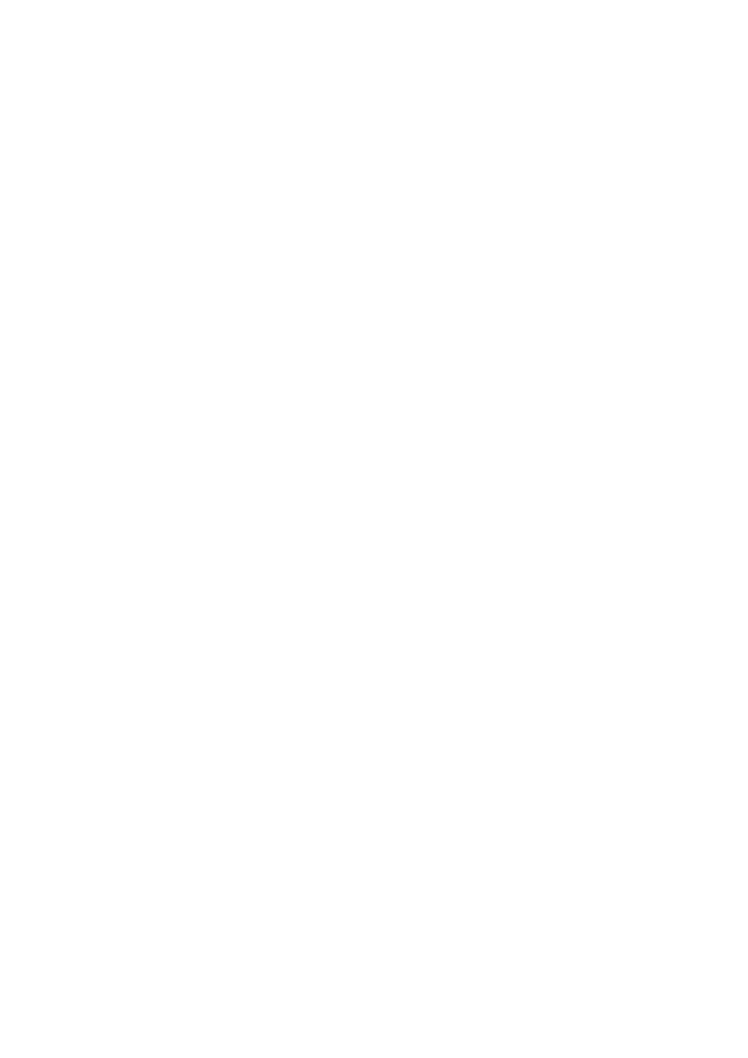| ---- |  |
|------|--|
|      |  |
|      |  |
|      |  |
|      |  |
|      |  |
|      |  |
|      |  |
|      |  |
|      |  |
|      |  |
|      |  |
|      |  |
|      |  |
|      |  |
|      |  |
|      |  |
|      |  |
|      |  |
|      |  |
|      |  |
|      |  |
|      |  |
|      |  |
|      |  |
|      |  |
|      |  |
|      |  |
|      |  |
|      |  |
|      |  |
|      |  |
|      |  |
|      |  |
|      |  |
|      |  |
|      |  |
|      |  |
|      |  |
|      |  |
|      |  |
|      |  |
|      |  |
|      |  |
|      |  |
|      |  |
|      |  |
|      |  |
|      |  |
|      |  |
|      |  |
|      |  |
|      |  |
|      |  |
|      |  |
|      |  |
|      |  |
|      |  |
|      |  |

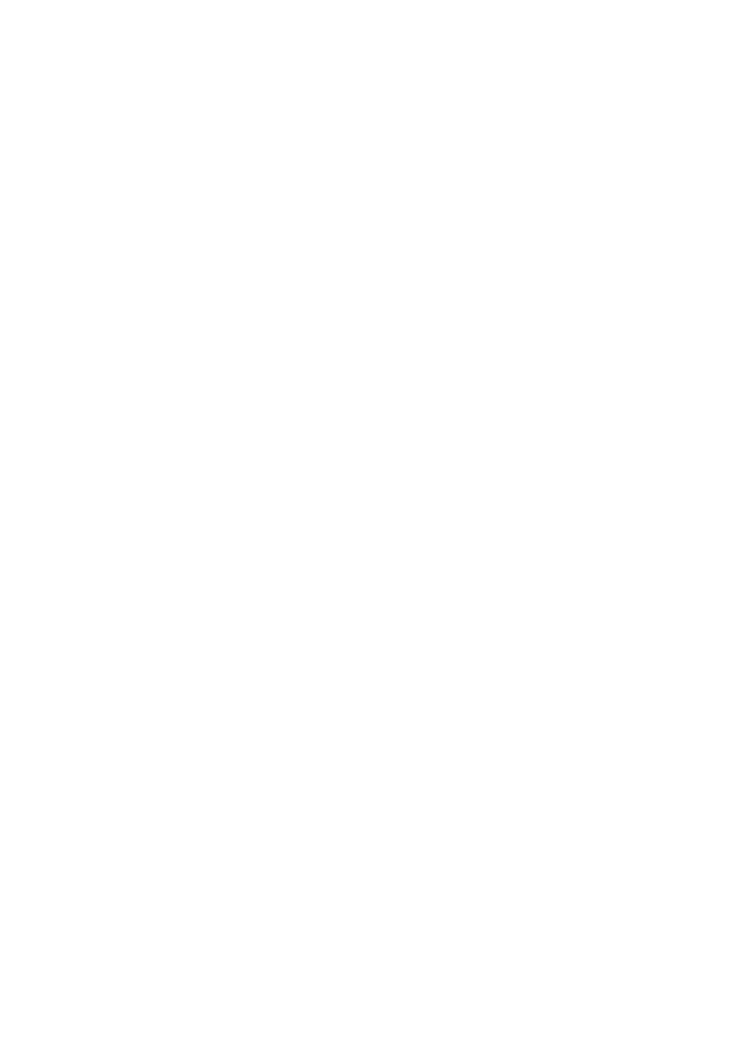| ---- |  |
|------|--|
|      |  |
|      |  |
|      |  |
|      |  |
|      |  |
|      |  |
|      |  |
|      |  |
|      |  |
|      |  |
|      |  |
|      |  |
|      |  |
|      |  |
|      |  |
|      |  |
|      |  |
|      |  |
|      |  |
|      |  |
|      |  |
|      |  |
|      |  |
|      |  |
|      |  |
|      |  |
|      |  |
|      |  |
|      |  |
|      |  |
|      |  |
|      |  |
|      |  |
|      |  |
|      |  |
|      |  |
|      |  |
|      |  |
|      |  |
|      |  |
|      |  |
|      |  |
|      |  |
|      |  |
|      |  |
|      |  |
|      |  |
|      |  |
|      |  |
|      |  |
|      |  |
|      |  |
|      |  |
|      |  |
|      |  |
|      |  |
|      |  |
|      |  |

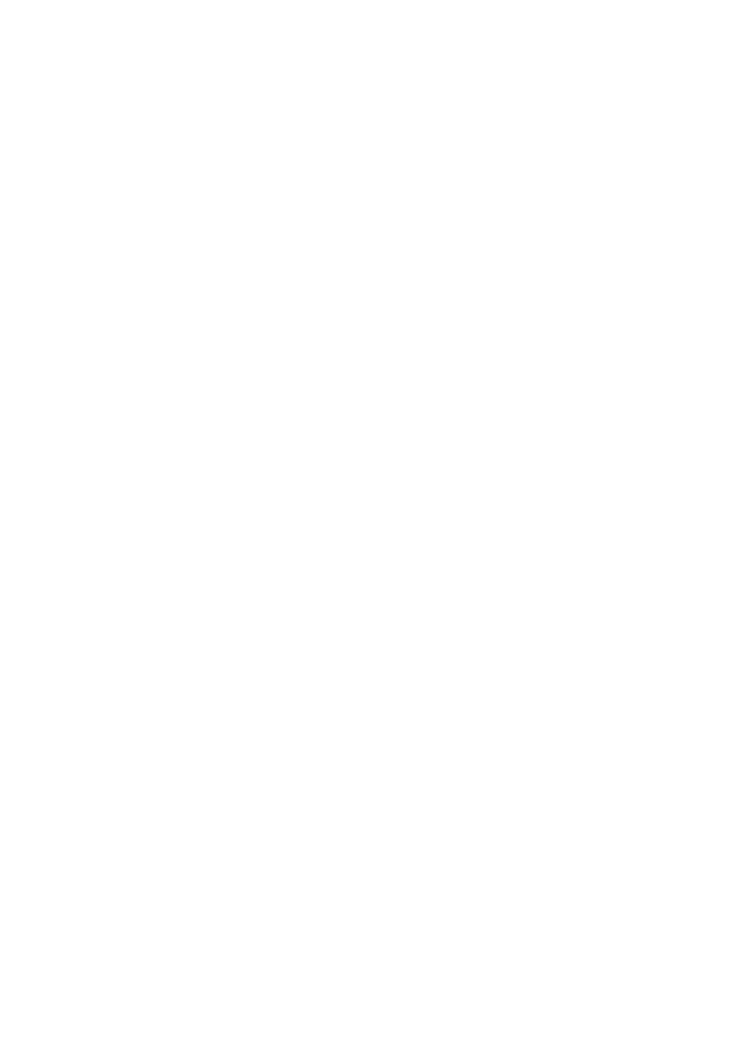| ---- |  |
|------|--|
|      |  |
|      |  |
|      |  |
|      |  |
|      |  |
|      |  |
|      |  |
|      |  |
|      |  |
|      |  |
|      |  |
|      |  |
|      |  |
|      |  |
|      |  |
|      |  |
|      |  |
|      |  |
|      |  |
|      |  |
|      |  |
|      |  |
|      |  |
|      |  |
|      |  |
|      |  |
|      |  |
|      |  |
|      |  |
|      |  |
|      |  |
|      |  |
|      |  |
|      |  |
|      |  |
|      |  |
|      |  |
|      |  |
|      |  |
|      |  |
|      |  |
|      |  |
|      |  |
|      |  |
|      |  |
|      |  |
|      |  |
|      |  |
|      |  |
|      |  |
|      |  |
|      |  |
|      |  |
|      |  |
|      |  |
|      |  |
|      |  |
|      |  |

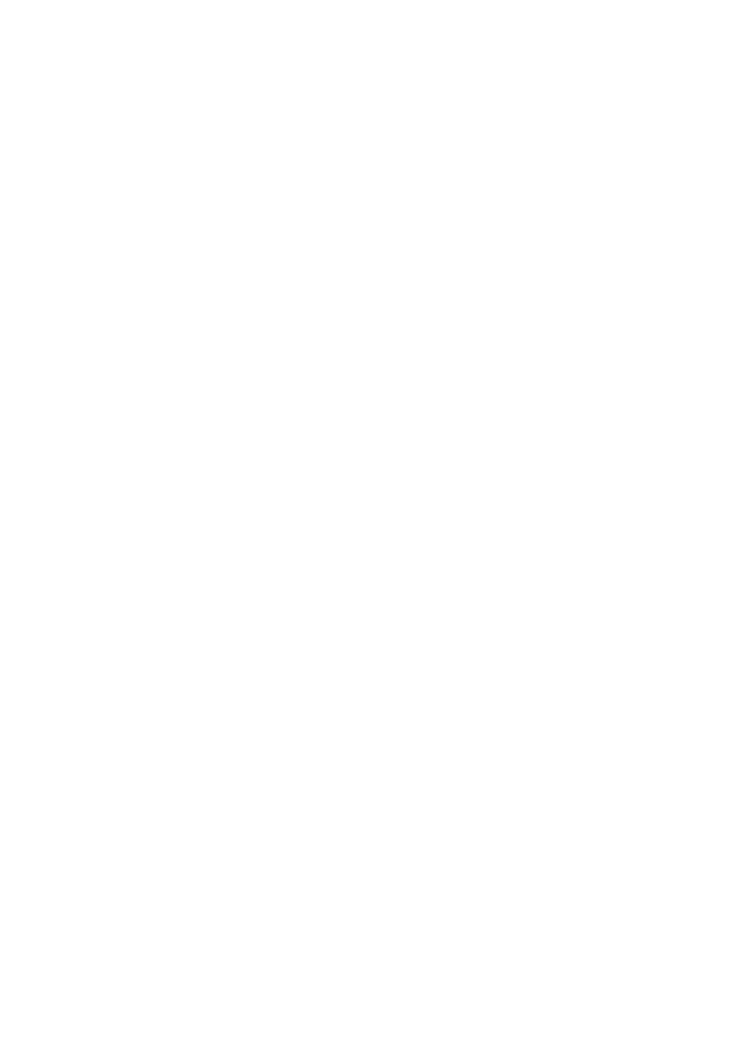| ---- |  |
|------|--|
|      |  |
|      |  |
|      |  |
|      |  |
|      |  |
|      |  |
|      |  |
|      |  |
|      |  |
|      |  |
|      |  |
|      |  |
|      |  |
|      |  |
|      |  |
|      |  |
|      |  |
|      |  |
|      |  |
|      |  |
|      |  |
|      |  |
|      |  |
|      |  |
|      |  |
|      |  |
|      |  |
|      |  |
|      |  |
|      |  |
|      |  |
|      |  |
|      |  |
|      |  |
|      |  |
|      |  |
|      |  |
|      |  |
|      |  |
|      |  |
|      |  |
|      |  |
|      |  |
|      |  |
|      |  |
|      |  |
|      |  |
|      |  |
|      |  |
|      |  |
|      |  |
|      |  |
|      |  |
|      |  |
|      |  |
|      |  |
|      |  |
|      |  |

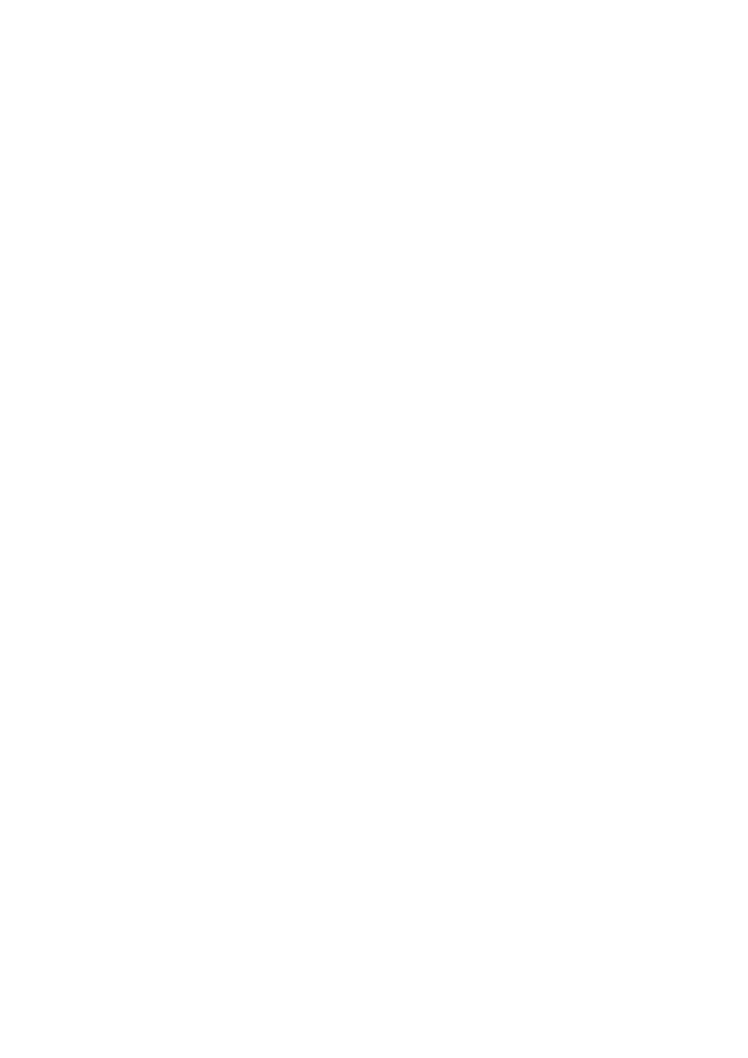| ---- |  |
|------|--|
|      |  |
|      |  |
|      |  |
|      |  |
|      |  |
|      |  |
|      |  |
|      |  |
|      |  |
|      |  |
|      |  |
|      |  |
|      |  |
|      |  |
|      |  |
|      |  |
|      |  |
|      |  |
|      |  |
|      |  |
|      |  |
|      |  |
|      |  |
|      |  |
|      |  |
|      |  |
|      |  |
|      |  |
|      |  |
|      |  |
|      |  |
|      |  |
|      |  |
|      |  |
|      |  |
|      |  |
|      |  |
|      |  |
|      |  |
|      |  |
|      |  |
|      |  |
|      |  |
|      |  |
|      |  |
|      |  |
|      |  |
|      |  |
|      |  |
|      |  |
|      |  |
|      |  |
|      |  |
|      |  |
|      |  |
|      |  |
|      |  |
|      |  |

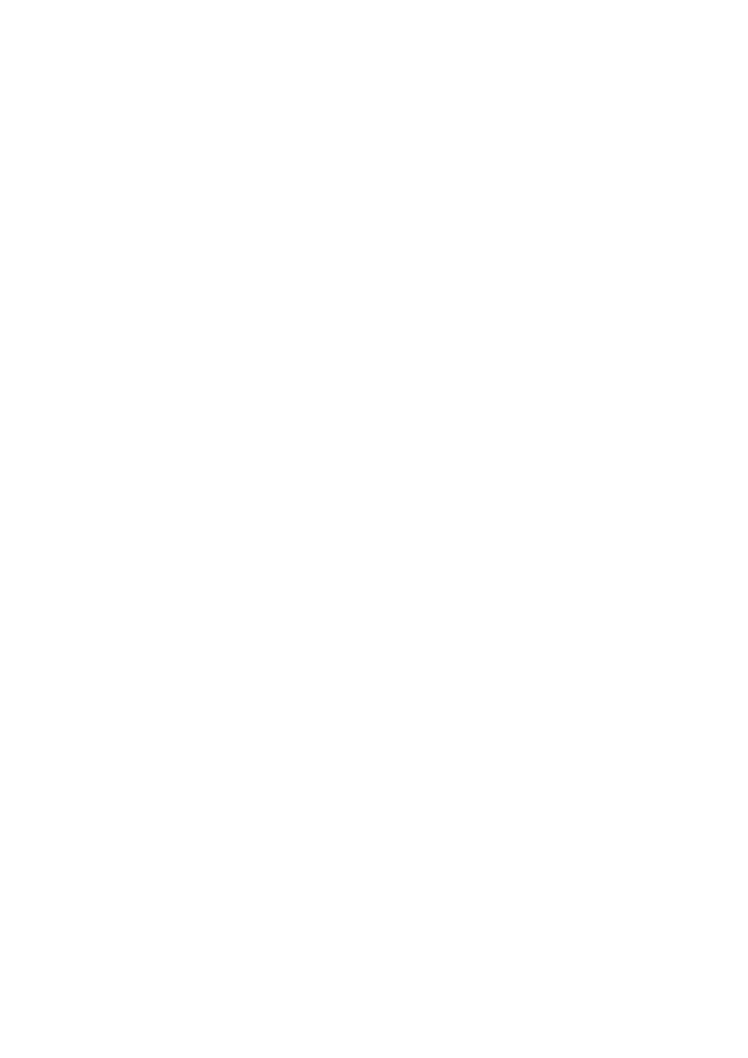| ---- |  |
|------|--|
|      |  |
|      |  |
|      |  |
|      |  |
|      |  |
|      |  |
|      |  |
|      |  |
|      |  |
|      |  |
|      |  |
|      |  |
|      |  |
|      |  |
|      |  |
|      |  |
|      |  |
|      |  |
|      |  |
|      |  |
|      |  |
|      |  |
|      |  |
|      |  |
|      |  |
|      |  |
|      |  |
|      |  |
|      |  |
|      |  |
|      |  |
|      |  |
|      |  |
|      |  |
|      |  |
|      |  |
|      |  |
|      |  |
|      |  |
|      |  |
|      |  |
|      |  |
|      |  |
|      |  |
|      |  |
|      |  |
|      |  |
|      |  |
|      |  |
|      |  |
|      |  |
|      |  |
|      |  |
|      |  |
|      |  |
|      |  |
|      |  |
|      |  |

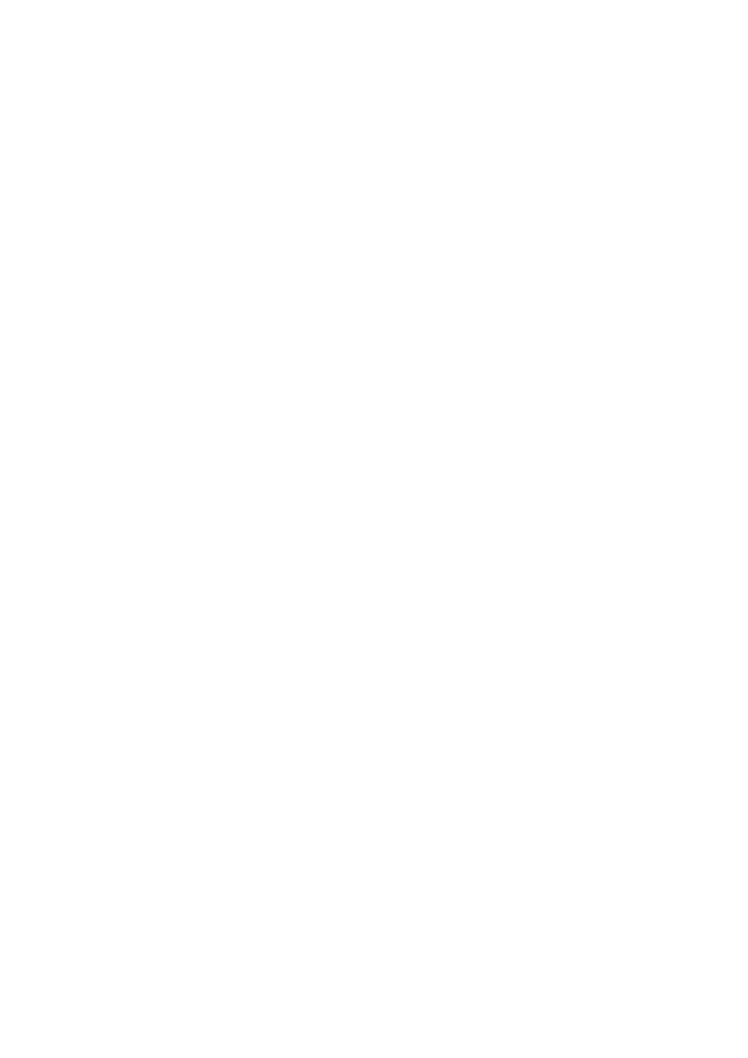| ---- |  |
|------|--|
|      |  |
|      |  |
|      |  |
|      |  |
|      |  |
|      |  |
|      |  |
|      |  |
|      |  |
|      |  |
|      |  |
|      |  |
|      |  |
|      |  |
|      |  |
|      |  |
|      |  |
|      |  |
|      |  |
|      |  |
|      |  |
|      |  |
|      |  |
|      |  |
|      |  |
|      |  |
|      |  |
|      |  |
|      |  |
|      |  |
|      |  |
|      |  |
|      |  |
|      |  |
|      |  |
|      |  |
|      |  |
|      |  |
|      |  |
|      |  |
|      |  |
|      |  |
|      |  |
|      |  |
|      |  |
|      |  |
|      |  |
|      |  |
|      |  |
|      |  |
|      |  |
|      |  |
|      |  |
|      |  |
|      |  |
|      |  |
|      |  |
|      |  |

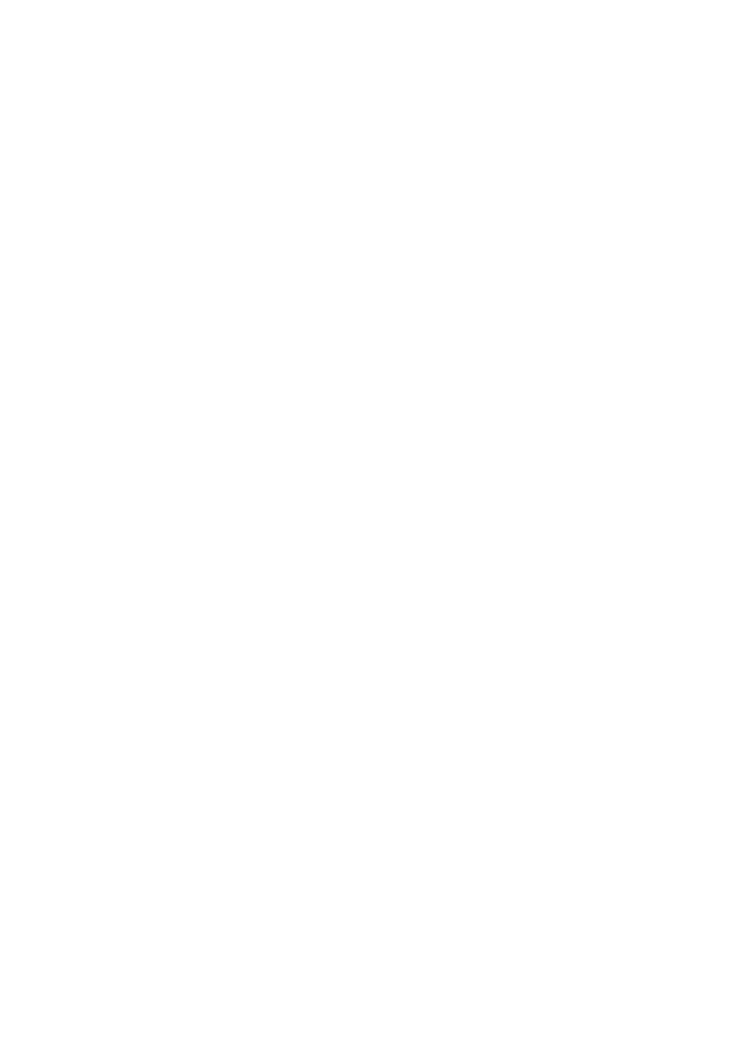| ---- |  |
|------|--|
|      |  |
|      |  |
|      |  |
|      |  |
|      |  |
|      |  |
|      |  |
|      |  |
|      |  |
|      |  |
|      |  |
|      |  |
|      |  |
|      |  |
|      |  |
|      |  |
|      |  |
|      |  |
|      |  |
|      |  |
|      |  |
|      |  |
|      |  |
|      |  |
|      |  |
|      |  |
|      |  |
|      |  |
|      |  |
|      |  |
|      |  |
|      |  |
|      |  |
|      |  |
|      |  |
|      |  |
|      |  |
|      |  |
|      |  |
|      |  |
|      |  |
|      |  |
|      |  |
|      |  |
|      |  |
|      |  |
|      |  |
|      |  |
|      |  |
|      |  |
|      |  |
|      |  |
|      |  |
|      |  |
|      |  |
|      |  |
|      |  |
|      |  |